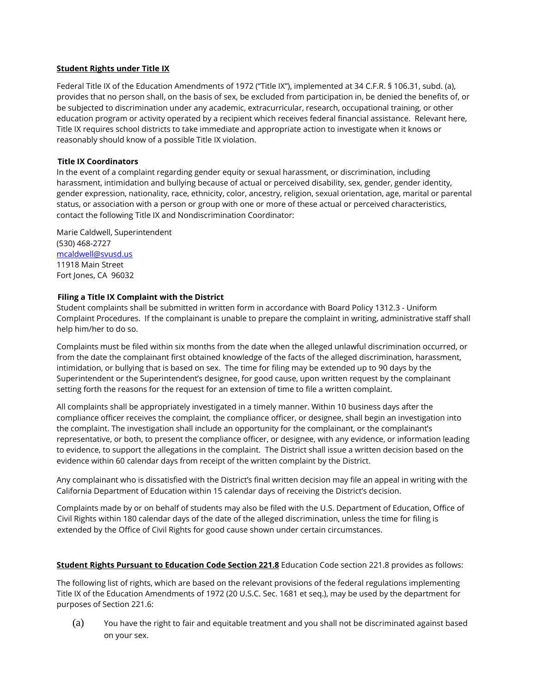#### **Student Rights under Title IX**

Federal Title IX of the Education Amendments of 1972 ("Title IX"), implemented at 34 C.F.R. § 106.31, subd. (a), provides that no person shall, on the basis of sex, be excluded from participation in, be denied the benefits of, or be subjected to discrimination under any academic, extracurricular, research, occupational training, or other education program or activity operated by a recipient which receives federal financial assistance. Relevant here, Title IX requires school districts to take immediate and appropriate action to investigate when it knows or reasonably should know of a possible Title IX violation.

## **Title IX Coordinators**

In the event of a complaint regarding gender equity or sexual harassment, or discrimination, including harassment, intimidation and bullying because of actual or perceived disability, sex, gender, gender identity, gender expression, nationality, race, ethnicity, color, ancestry, religion, sexual orientation, age, marital or parental status, or association with a person or group with one or more of these actual or perceived characteristics, contact the following Title IX and Nondiscrimination Coordinator:

Marie Caldwell, Superintendent (530) 468-2727 [mcaldwell@svusd.us](mailto:mcaldwell@svusd.us) 11918 Main Street Fort Jones, CA 96032

# **Filing a Title IX Complaint with the District**

Student complaints shall be submitted in written form in accordance with Board Policy 1312.3 - Uniform Complaint Procedures. If the complainant is unable to prepare the complaint in writing, administrative staff shall help him/her to do so.

Complaints must be filed within six months from the date when the alleged unlawful discrimination occurred, or from the date the complainant first obtained knowledge of the facts of the alleged discrimination, harassment, intimidation, or bullying that is based on sex. The time for filing may be extended up to 90 days by the Superintendent or the Superintendent's designee, for good cause, upon written request by the complainant setting forth the reasons for the request for an extension of time to file a written complaint.

All complaints shall be appropriately investigated in a timely manner. Within 10 business days after the compliance officer receives the complaint, the compliance officer, or designee, shall begin an investigation into the complaint. The investigation shall include an opportunity for the complainant, or the complainant's representative, or both, to present the compliance officer, or designee, with any evidence, or information leading to evidence, to support the allegations in the complaint. The District shall issue a written decision based on the evidence within 60 calendar days from receipt of the written complaint by the District.

Any complainant who is dissatisfied with the District's final written decision may file an appeal in writing with the California Department of Education within 15 calendar days of receiving the District's decision.

Complaints made by or on behalf of students may also be filed with the U.S. Department of Education, Office of Civil Rights within 180 calendar days of the date of the alleged discrimination, unless the time for filing is extended by the Office of Civil Rights for good cause shown under certain circumstances.

### **Student Rights Pursuant to Education Code Section 221.8** Education Code section 221.8 provides as follows:

The following list of rights, which are based on the relevant provisions of the federal regulations implementing Title IX of the Education Amendments of 1972 (20 U.S.C. Sec. 1681 et seq.), may be used by the department for purposes of Section 221.6:

(a) You have the right to fair and equitable treatment and you shall not be discriminated against based on your sex.